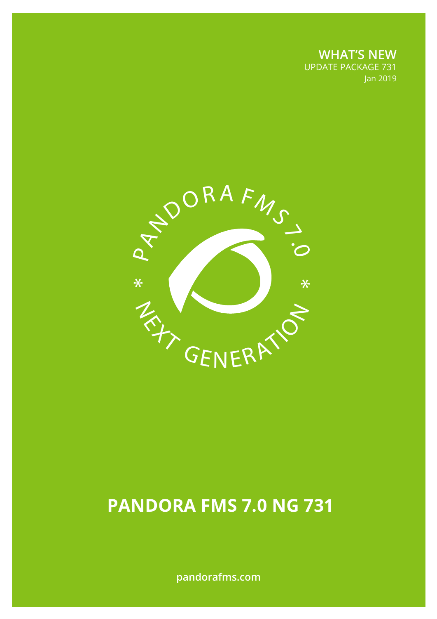**WHAT'S NEW** UPDATE PACKAGE 731 Jan 2019



# **PANDORA FMS 7.0 NG 731**

**pandorafms.com**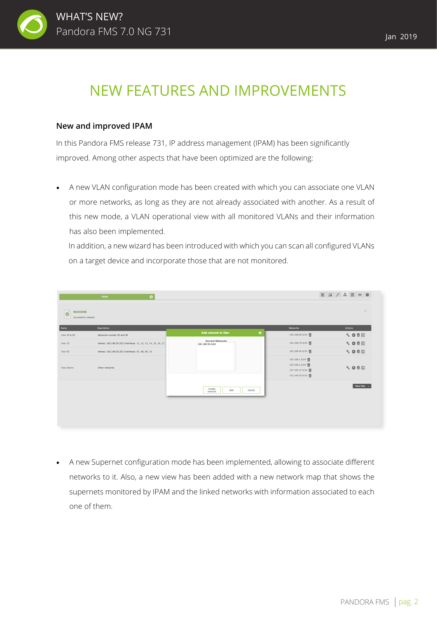

## NEW FEATURES AND IMPROVEMENTS

#### **New and improved IPAM**

In this Pandora FMS release 731, IP address management (IPAM) has been significantly improved. Among other aspects that have been optimized are the following:

A new VLAN configuration mode has been created with which you can associate one VLAN or more networks, as long as they are not already associated with another. As a result of this new mode, a VLAN operational view with all monitored VLANs and their information has also been implemented.

In addition, a new wizard has been introduced with which you can scan all configured VLANs on a target device and incorporate those that are not monitored.

|                                                     | Q<br><b>IPAM</b>                                                 |                                              |                                                                            | 24 义 品 国 6 春   |
|-----------------------------------------------------|------------------------------------------------------------------|----------------------------------------------|----------------------------------------------------------------------------|----------------|
| <b>SUCCESS</b><br>$\bullet$<br>Successfully deleted |                                                                  |                                              |                                                                            | $\mathcal{H}$  |
| Name                                                | <b>Description</b>                                               |                                              | <b>Networks</b>                                                            | <b>Actions</b> |
| Vian 50 & 80                                        | Networks number 50 and 80                                        | $\pmb{\times}$<br><b>Add network to Vlan</b> | 192.168.80.0/24                                                            | √ ◎ 市 同        |
| Vlan 70                                             | Adress: 192.168.50.252 Interfaces: 11, 12, 13, 14, 15, 16, 17, 3 | <b>Current Networks</b><br>192.168.50.0/24   | 192.168.70.0/24                                                            | √ 〇 市 団        |
| Vian 90                                             | Adress: 192.168.50.252 Interfaces: 07, 08, 09, 10                |                                              | 192.168.90.0/24                                                            | √ ◎ 亩 园        |
| Vian others                                         | Other networks                                                   |                                              | 192.168.1.0/24 而<br>192.168.2.0/24 而<br>192.168.10.0/24<br>192.168.30.0/24 | √ ◎ 市 园        |
|                                                     |                                                                  | Create<br>Add<br>Cancel<br>network           |                                                                            | New Vian >     |
|                                                     |                                                                  |                                              |                                                                            |                |
|                                                     |                                                                  |                                              |                                                                            |                |

• A new Supernet configuration mode has been implemented, allowing to associate different networks to it. Also, a new view has been added with a new network map that shows the supernets monitored by IPAM and the linked networks with information associated to each one of them.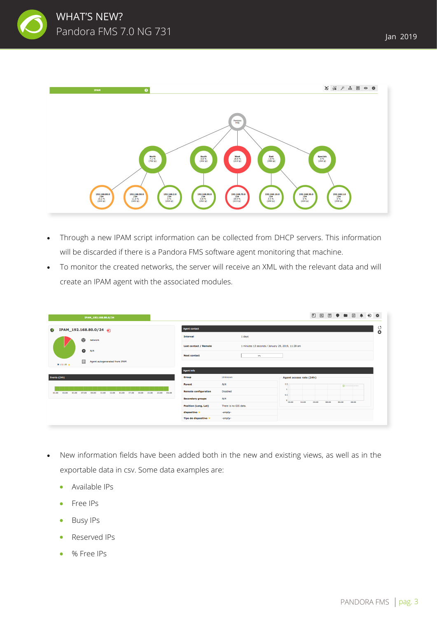



- Through a new IPAM script information can be collected from DHCP servers. This information will be discarded if there is a Pandora FMS software agent monitoring that machine.
- To monitor the created networks, the server will receive an XML with the relevant data and will create an IPAM agent with the associated modules.

| IPAM_192.168.80.0/24                                                                                           |                             |                                                   | 図団●■図●日本<br>◧                                      |              |
|----------------------------------------------------------------------------------------------------------------|-----------------------------|---------------------------------------------------|----------------------------------------------------|--------------|
| IPAM_192.168.80.0/24<br>G.                                                                                     | <b>Agent contact</b>        |                                                   |                                                    | ೮<br>$\circ$ |
| $\rightarrow$<br>network                                                                                       | Interval                    | 1 days                                            |                                                    |              |
| $\bullet$<br>N/A                                                                                               | Last contact / Remote       | 1 minutes 13 seconds / January 29, 2019, 11:28 am |                                                    |              |
|                                                                                                                | <b>Next contact</b>         | $O\%$                                             |                                                    |              |
| 田<br>Agent autogenerated from IPAM<br>$9:1:8+$                                                                 |                             |                                                   |                                                    |              |
|                                                                                                                | <b>Agent info</b>           |                                                   |                                                    |              |
| Events (24h)                                                                                                   | Group                       | Unknown                                           | Agent access rate (24h)                            |              |
|                                                                                                                | Parent                      | N/A                                               | 1.5 <sub>c</sub><br><b>@</b> PANDORAFMS            |              |
| 15:00<br>17:00<br>19:00<br>21:00<br>23:00 01:00<br>03:00<br>05:00<br>07:00<br>09:00<br>11:00<br>13:00<br>01:00 | <b>Remote configuration</b> | <b>Disabled</b>                                   | 0.5                                                |              |
|                                                                                                                | <b>Secondary groups</b>     | N/A                                               | 16:00<br>20:00<br>00:00<br>04:00<br>08:00<br>12:00 |              |
|                                                                                                                | Position (Long, Lat)        | There is no GIS data.                             |                                                    |              |
|                                                                                                                | dispositivo *               | -empty-                                           |                                                    |              |
|                                                                                                                | Tipo de dispositivo *       | -empty-                                           |                                                    |              |
|                                                                                                                |                             |                                                   |                                                    |              |

- New information fields have been added both in the new and existing views, as well as in the exportable data in csv. Some data examples are:
	- Available IPs
	- Free IPs  $\bullet$
	- Busy IPs  $\bullet$
	- Reserved IPs  $\bullet$
	- % Free IPs $\blacksquare$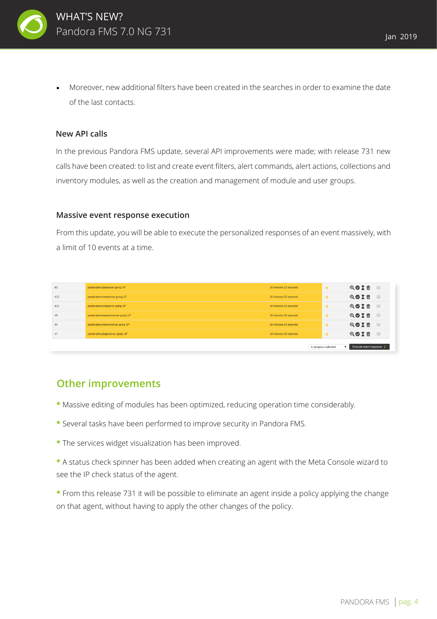

Moreover, new additional filters have been created in the searches in order to examine the date of the last contacts.

#### **New API calls**

In the previous Pandora FMS update, several API improvements were made; with release 731 new calls have been created: to list and create event filters, alert commands, alert actions, collections and inventory modules, as well as the creation and management of module and user groups.

#### **Massive event response execution**

From this update, you will be able to execute the personalized responses of an event massively, with a limit of 10 events at a time.

| #3  | pandorafms dataserver going UP      | 18 minutes 53 seconds |                      | $\star$      | QOXT                     | $\Box$ |
|-----|-------------------------------------|-----------------------|----------------------|--------------|--------------------------|--------|
| #11 | pandoralms eventserver going UP     | 18 minutes 53 seconds |                      | $\star$      | QOX m                    | $\Box$ |
| #12 | pandorafms icmpserver going UP      | 18 minutes 53 seconds |                      | $\star$      | QOXT                     | $\Box$ |
| #9  | pandorafms inventoryserver going UP | 18 minutes 53 seconds |                      | $\star$      | QOIT                     | $\Box$ |
| #4  | pandorafms networkserver going UP   | 18 minutes 53 seconds |                      | $\star$      | QOXT                     | $\Box$ |
| #7  | pandorafms pluginserver going UP    | 18 minutes 53 seconds |                      | $\star$      | QOXT                     | - 0    |
|     |                                     |                       | In progress selected | $\mathbf{v}$ | Execute event response > |        |

### **Other improvements**

- **\*** Massive editing of modules has been optimized, reducing operation time considerably.
- **\*** Several tasks have been performed to improve security in Pandora FMS.
- **\*** The services widget visualization has been improved.
- **\*** A status check spinner has been added when creating an agent with the Meta Console wizard to see the IP check status of the agent.
- **\*** From this release 731 it will be possible to eliminate an agent inside a policy applying the change on that agent, without having to apply the other changes of the policy.